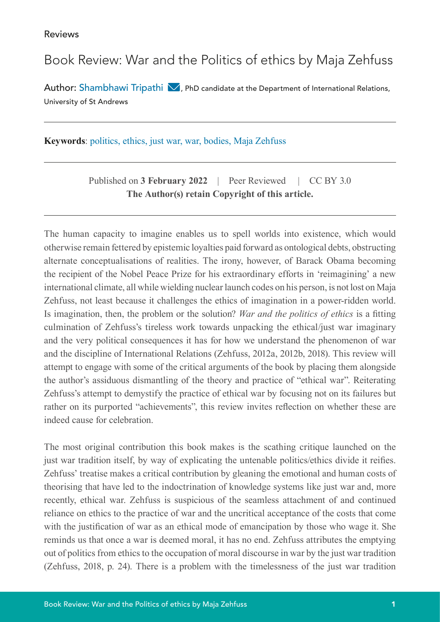## Book Review: War and the Politics of ethics by Maja Zehfuss

Author: Shambhawi Tripathi  $\bigvee$ [,](mailto:st253%40st-andrews.ac.uk?subject=) PhD candidate at the Department of International Relations, University of St Andrews

**Keywords**: politics, ethics, just war, war, bodies, Maja Zehfuss

Published on **3 February 2022** | Peer Reviewed | CC BY 3.0 **The Author(s) retain Copyright of this article.**

The human capacity to imagine enables us to spell worlds into existence, which would otherwise remain fettered by epistemic loyalties paid forward as ontological debts, obstructing alternate conceptualisations of realities. The irony, however, of Barack Obama becoming the recipient of the Nobel Peace Prize for his extraordinary efforts in 'reimagining' a new international climate, all while wielding nuclear launch codes on his person, is not lost on Maja Zehfuss, not least because it challenges the ethics of imagination in a power-ridden world. Is imagination, then, the problem or the solution? *War and the politics of ethics* is a fitting culmination of Zehfuss's tireless work towards unpacking the ethical/just war imaginary and the very political consequences it has for how we understand the phenomenon of war and the discipline of International Relations (Zehfuss, 2012a, 2012b, 2018). This review will attempt to engage with some of the critical arguments of the book by placing them alongside the author's assiduous dismantling of the theory and practice of "ethical war". Reiterating Zehfuss's attempt to demystify the practice of ethical war by focusing not on its failures but rather on its purported "achievements", this review invites reflection on whether these are indeed cause for celebration.

The most original contribution this book makes is the scathing critique launched on the just war tradition itself, by way of explicating the untenable politics/ethics divide it reifies. Zehfuss' treatise makes a critical contribution by gleaning the emotional and human costs of theorising that have led to the indoctrination of knowledge systems like just war and, more recently, ethical war. Zehfuss is suspicious of the seamless attachment of and continued reliance on ethics to the practice of war and the uncritical acceptance of the costs that come with the justification of war as an ethical mode of emancipation by those who wage it. She reminds us that once a war is deemed moral, it has no end. Zehfuss attributes the emptying out of politics from ethics to the occupation of moral discourse in war by the just war tradition (Zehfuss, 2018, p. 24). There is a problem with the timelessness of the just war tradition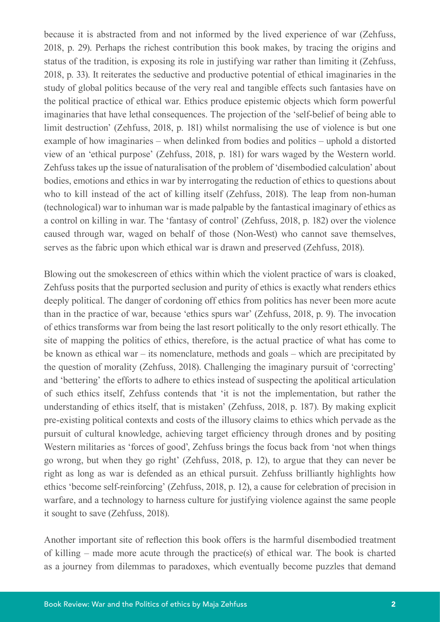because it is abstracted from and not informed by the lived experience of war (Zehfuss, 2018, p. 29). Perhaps the richest contribution this book makes, by tracing the origins and status of the tradition, is exposing its role in justifying war rather than limiting it (Zehfuss, 2018, p. 33). It reiterates the seductive and productive potential of ethical imaginaries in the study of global politics because of the very real and tangible effects such fantasies have on the political practice of ethical war. Ethics produce epistemic objects which form powerful imaginaries that have lethal consequences. The projection of the 'self-belief of being able to limit destruction' (Zehfuss, 2018, p. 181) whilst normalising the use of violence is but one example of how imaginaries – when delinked from bodies and politics – uphold a distorted view of an 'ethical purpose' (Zehfuss, 2018, p. 181) for wars waged by the Western world. Zehfuss takes up the issue of naturalisation of the problem of 'disembodied calculation' about bodies, emotions and ethics in war by interrogating the reduction of ethics to questions about who to kill instead of the act of killing itself (Zehfuss, 2018). The leap from non-human (technological) war to inhuman war is made palpable by the fantastical imaginary of ethics as a control on killing in war. The 'fantasy of control' (Zehfuss, 2018, p. 182) over the violence caused through war, waged on behalf of those (Non-West) who cannot save themselves, serves as the fabric upon which ethical war is drawn and preserved (Zehfuss, 2018).

Blowing out the smokescreen of ethics within which the violent practice of wars is cloaked, Zehfuss posits that the purported seclusion and purity of ethics is exactly what renders ethics deeply political. The danger of cordoning off ethics from politics has never been more acute than in the practice of war, because 'ethics spurs war' (Zehfuss, 2018, p. 9). The invocation of ethics transforms war from being the last resort politically to the only resort ethically. The site of mapping the politics of ethics, therefore, is the actual practice of what has come to be known as ethical war – its nomenclature, methods and goals – which are precipitated by the question of morality (Zehfuss, 2018). Challenging the imaginary pursuit of 'correcting' and 'bettering' the efforts to adhere to ethics instead of suspecting the apolitical articulation of such ethics itself, Zehfuss contends that 'it is not the implementation, but rather the understanding of ethics itself, that is mistaken' (Zehfuss, 2018, p. 187). By making explicit pre-existing political contexts and costs of the illusory claims to ethics which pervade as the pursuit of cultural knowledge, achieving target efficiency through drones and by positing Western militaries as 'forces of good', Zehfuss brings the focus back from 'not when things go wrong, but when they go right' (Zehfuss, 2018, p. 12), to argue that they can never be right as long as war is defended as an ethical pursuit. Zehfuss brilliantly highlights how ethics 'become self-reinforcing' (Zehfuss, 2018, p. 12), a cause for celebration of precision in warfare, and a technology to harness culture for justifying violence against the same people it sought to save (Zehfuss, 2018).

Another important site of reflection this book offers is the harmful disembodied treatment of killing – made more acute through the practice(s) of ethical war. The book is charted as a journey from dilemmas to paradoxes, which eventually become puzzles that demand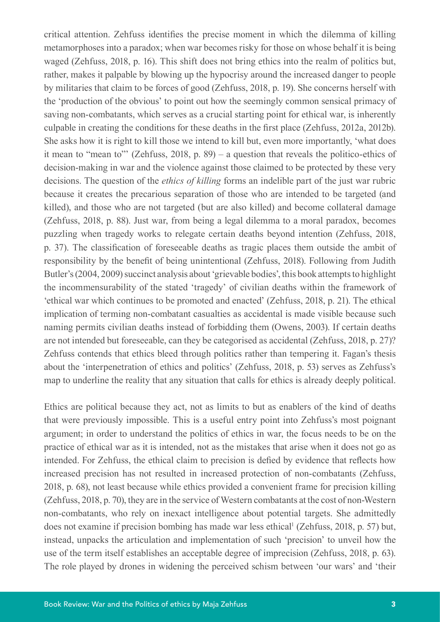critical attention. Zehfuss identifies the precise moment in which the dilemma of killing metamorphoses into a paradox; when war becomes risky for those on whose behalf it is being waged (Zehfuss, 2018, p. 16). This shift does not bring ethics into the realm of politics but, rather, makes it palpable by blowing up the hypocrisy around the increased danger to people by militaries that claim to be forces of good (Zehfuss, 2018, p. 19). She concerns herself with the 'production of the obvious' to point out how the seemingly common sensical primacy of saving non-combatants, which serves as a crucial starting point for ethical war, is inherently culpable in creating the conditions for these deaths in the first place (Zehfuss, 2012a, 2012b). She asks how it is right to kill those we intend to kill but, even more importantly, 'what does it mean to "mean to"' (Zehfuss, 2018, p. 89) – a question that reveals the politico-ethics of decision-making in war and the violence against those claimed to be protected by these very decisions. The question of the *ethics of killing* forms an indelible part of the just war rubric because it creates the precarious separation of those who are intended to be targeted (and killed), and those who are not targeted (but are also killed) and become collateral damage (Zehfuss, 2018, p. 88). Just war, from being a legal dilemma to a moral paradox, becomes puzzling when tragedy works to relegate certain deaths beyond intention (Zehfuss, 2018, p. 37). The classification of foreseeable deaths as tragic places them outside the ambit of responsibility by the benefit of being unintentional (Zehfuss, 2018). Following from Judith Butler's (2004, 2009) succinct analysis about 'grievable bodies', this book attempts to highlight the incommensurability of the stated 'tragedy' of civilian deaths within the framework of 'ethical war which continues to be promoted and enacted' (Zehfuss, 2018, p. 21). The ethical implication of terming non-combatant casualties as accidental is made visible because such naming permits civilian deaths instead of forbidding them (Owens, 2003). If certain deaths are not intended but foreseeable, can they be categorised as accidental (Zehfuss, 2018, p. 27)? Zehfuss contends that ethics bleed through politics rather than tempering it. Fagan's thesis about the 'interpenetration of ethics and politics' (Zehfuss, 2018, p. 53) serves as Zehfuss's map to underline the reality that any situation that calls for ethics is already deeply political.

Ethics are political because they act, not as limits to but as enablers of the kind of deaths that were previously impossible. This is a useful entry point into Zehfuss's most poignant argument; in order to understand the politics of ethics in war, the focus needs to be on the practice of ethical war as it is intended, not as the mistakes that arise when it does not go as intended. For Zehfuss, the ethical claim to precision is defied by evidence that reflects how increased precision has not resulted in increased protection of non-combatants (Zehfuss, 2018, p. 68), not least because while ethics provided a convenient frame for precision killing (Zehfuss, 2018, p. 70), they are in the service of Western combatants at the cost of non-Western non-combatants, who rely on inexact intelligence about potential targets. She admittedly does not examine if precision bombing has made war less ethical<sup>1</sup> (Zehfuss, 2018, p. 57) but, instead, unpacks the articulation and implementation of such 'precision' to unveil how the use of the term itself establishes an acceptable degree of imprecision (Zehfuss, 2018, p. 63). The role played by drones in widening the perceived schism between 'our wars' and 'their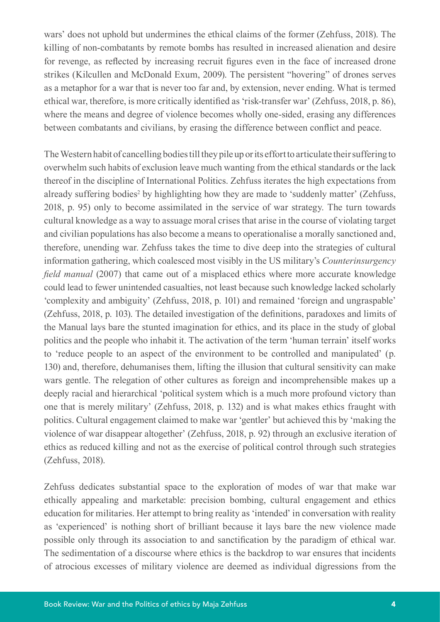wars' does not uphold but undermines the ethical claims of the former (Zehfuss, 2018). The killing of non-combatants by remote bombs has resulted in increased alienation and desire for revenge, as reflected by increasing recruit figures even in the face of increased drone strikes (Kilcullen and McDonald Exum, 2009). The persistent "hovering" of drones serves as a metaphor for a war that is never too far and, by extension, never ending. What is termed ethical war, therefore, is more critically identified as 'risk-transfer war' (Zehfuss, 2018, p. 86), where the means and degree of violence becomes wholly one-sided, erasing any differences between combatants and civilians, by erasing the difference between conflict and peace.

The Western habit of cancelling bodies till they pile up or its effort to articulate their suffering to overwhelm such habits of exclusion leave much wanting from the ethical standards or the lack thereof in the discipline of International Politics. Zehfuss iterates the high expectations from already suffering bodies<sup>2</sup> by highlighting how they are made to 'suddenly matter' (Zehfuss, 2018, p. 95) only to become assimilated in the service of war strategy. The turn towards cultural knowledge as a way to assuage moral crises that arise in the course of violating target and civilian populations has also become a means to operationalise a morally sanctioned and, therefore, unending war. Zehfuss takes the time to dive deep into the strategies of cultural information gathering, which coalesced most visibly in the US military's *Counterinsurgency field manual* (2007) that came out of a misplaced ethics where more accurate knowledge could lead to fewer unintended casualties, not least because such knowledge lacked scholarly 'complexity and ambiguity' (Zehfuss, 2018, p. 101) and remained 'foreign and ungraspable' (Zehfuss, 2018, p. 103). The detailed investigation of the definitions, paradoxes and limits of the Manual lays bare the stunted imagination for ethics, and its place in the study of global politics and the people who inhabit it. The activation of the term 'human terrain' itself works to 'reduce people to an aspect of the environment to be controlled and manipulated' (p. 130) and, therefore, dehumanises them, lifting the illusion that cultural sensitivity can make wars gentle. The relegation of other cultures as foreign and incomprehensible makes up a deeply racial and hierarchical 'political system which is a much more profound victory than one that is merely military' (Zehfuss, 2018, p. 132) and is what makes ethics fraught with politics. Cultural engagement claimed to make war 'gentler' but achieved this by 'making the violence of war disappear altogether' (Zehfuss, 2018, p. 92) through an exclusive iteration of ethics as reduced killing and not as the exercise of political control through such strategies (Zehfuss, 2018).

Zehfuss dedicates substantial space to the exploration of modes of war that make war ethically appealing and marketable: precision bombing, cultural engagement and ethics education for militaries. Her attempt to bring reality as 'intended' in conversation with reality as 'experienced' is nothing short of brilliant because it lays bare the new violence made possible only through its association to and sanctification by the paradigm of ethical war. The sedimentation of a discourse where ethics is the backdrop to war ensures that incidents of atrocious excesses of military violence are deemed as individual digressions from the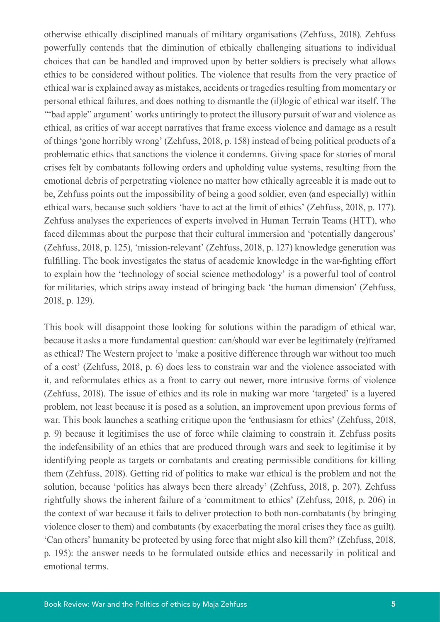otherwise ethically disciplined manuals of military organisations (Zehfuss, 2018). Zehfuss powerfully contends that the diminution of ethically challenging situations to individual choices that can be handled and improved upon by better soldiers is precisely what allows ethics to be considered without politics. The violence that results from the very practice of ethical war is explained away as mistakes, accidents or tragedies resulting from momentary or personal ethical failures, and does nothing to dismantle the (il)logic of ethical war itself. The '"bad apple" argument' works untiringly to protect the illusory pursuit of war and violence as ethical, as critics of war accept narratives that frame excess violence and damage as a result of things 'gone horribly wrong' (Zehfuss, 2018, p. 158) instead of being political products of a problematic ethics that sanctions the violence it condemns. Giving space for stories of moral crises felt by combatants following orders and upholding value systems, resulting from the emotional debris of perpetrating violence no matter how ethically agreeable it is made out to be, Zehfuss points out the impossibility of being a good soldier, even (and especially) within ethical wars, because such soldiers 'have to act at the limit of ethics' (Zehfuss, 2018, p. 177). Zehfuss analyses the experiences of experts involved in Human Terrain Teams (HTT), who faced dilemmas about the purpose that their cultural immersion and 'potentially dangerous' (Zehfuss, 2018, p. 125), 'mission-relevant' (Zehfuss, 2018, p. 127) knowledge generation was fulfilling. The book investigates the status of academic knowledge in the war-fighting effort to explain how the 'technology of social science methodology' is a powerful tool of control for militaries, which strips away instead of bringing back 'the human dimension' (Zehfuss, 2018, p. 129).

This book will disappoint those looking for solutions within the paradigm of ethical war, because it asks a more fundamental question: can/should war ever be legitimately (re)framed as ethical? The Western project to 'make a positive difference through war without too much of a cost' (Zehfuss, 2018, p. 6) does less to constrain war and the violence associated with it, and reformulates ethics as a front to carry out newer, more intrusive forms of violence (Zehfuss, 2018). The issue of ethics and its role in making war more 'targeted' is a layered problem, not least because it is posed as a solution, an improvement upon previous forms of war. This book launches a scathing critique upon the 'enthusiasm for ethics' (Zehfuss, 2018, p. 9) because it legitimises the use of force while claiming to constrain it. Zehfuss posits the indefensibility of an ethics that are produced through wars and seek to legitimise it by identifying people as targets or combatants and creating permissible conditions for killing them (Zehfuss, 2018). Getting rid of politics to make war ethical is the problem and not the solution, because 'politics has always been there already' (Zehfuss, 2018, p. 207). Zehfuss rightfully shows the inherent failure of a 'commitment to ethics' (Zehfuss, 2018, p. 206) in the context of war because it fails to deliver protection to both non-combatants (by bringing violence closer to them) and combatants (by exacerbating the moral crises they face as guilt). 'Can others' humanity be protected by using force that might also kill them?' (Zehfuss, 2018, p. 195): the answer needs to be formulated outside ethics and necessarily in political and emotional terms.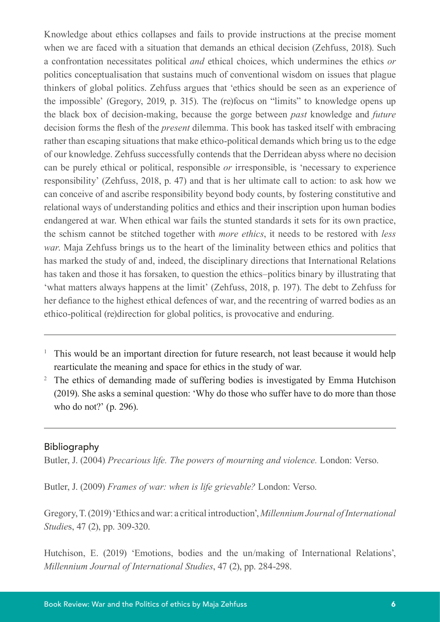Knowledge about ethics collapses and fails to provide instructions at the precise moment when we are faced with a situation that demands an ethical decision (Zehfuss, 2018). Such a confrontation necessitates political *and* ethical choices, which undermines the ethics *or* politics conceptualisation that sustains much of conventional wisdom on issues that plague thinkers of global politics. Zehfuss argues that 'ethics should be seen as an experience of the impossible' (Gregory, 2019, p. 315). The (re)focus on "limits" to knowledge opens up the black box of decision-making, because the gorge between *past* knowledge and *future* decision forms the flesh of the *present* dilemma. This book has tasked itself with embracing rather than escaping situations that make ethico-political demands which bring us to the edge of our knowledge. Zehfuss successfully contends that the Derridean abyss where no decision can be purely ethical or political, responsible *or* irresponsible, is 'necessary to experience responsibility' (Zehfuss, 2018, p. 47) and that is her ultimate call to action: to ask how we can conceive of and ascribe responsibility beyond body counts, by fostering constitutive and relational ways of understanding politics and ethics and their inscription upon human bodies endangered at war. When ethical war fails the stunted standards it sets for its own practice, the schism cannot be stitched together with *more ethics*, it needs to be restored with *less war*. Maja Zehfuss brings us to the heart of the liminality between ethics and politics that has marked the study of and, indeed, the disciplinary directions that International Relations has taken and those it has forsaken, to question the ethics–politics binary by illustrating that 'what matters always happens at the limit' (Zehfuss, 2018, p. 197). The debt to Zehfuss for her defiance to the highest ethical defences of war, and the recentring of warred bodies as an ethico-political (re)direction for global politics, is provocative and enduring.

- <sup>1</sup> This would be an important direction for future research, not least because it would help rearticulate the meaning and space for ethics in the study of war.
- <sup>2</sup> The ethics of demanding made of suffering bodies is investigated by Emma Hutchison (2019). She asks a seminal question: 'Why do those who suffer have to do more than those who do not?' (p. 296).

## Bibliography

Butler, J. (2004) *Precarious life. The powers of mourning and violence.* London: Verso.

Butler, J. (2009) *Frames of war: when is life grievable?* London: Verso.

Gregory, T. (2019) 'Ethics and war: a critical introduction', *Millennium Journal of International Studie*s, 47 (2), pp. 309-320.

Hutchison, E. (2019) 'Emotions, bodies and the un/making of International Relations', *Millennium Journal of International Studies*, 47 (2), pp. 284-298.